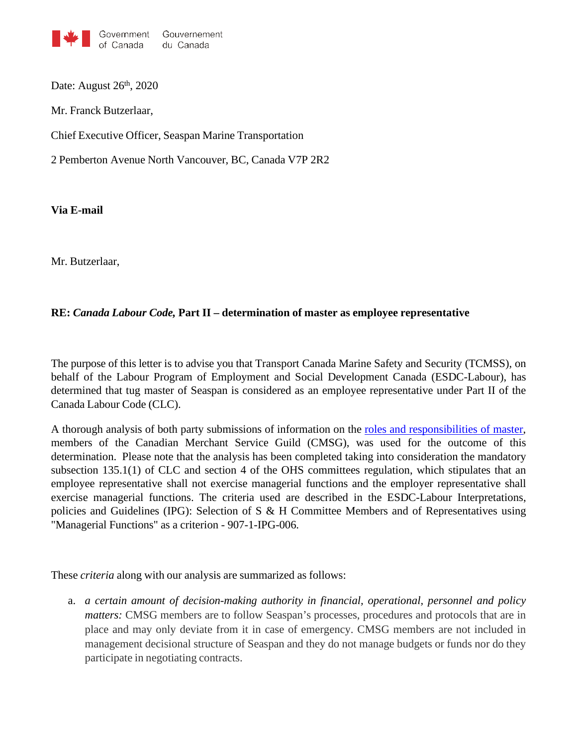

Date: August  $26<sup>th</sup>$ , 2020

Mr. Franck Butzerlaar,

Chief Executive Officer, Seaspan Marine Transportation

2 Pemberton Avenue North Vancouver, BC, Canada V7P 2R2

**Via E-mail**

Mr. Butzerlaar,

## **RE:** *Canada Labour Code,* **Part II – determination of master as employee representative**

The purpose of this letter is to advise you that Transport Canada Marine Safety and Security (TCMSS), on behalf of the Labour Program of Employment and Social Development Canada (ESDC-Labour), has determined that tug master of Seaspan is considered as an employee representative under Part II of the Canada Labour Code (CLC).

A thorough analysis of both party submissions of information on the roles and [responsibilities](https://www.cmsg-gmmc.ca/index.php/en/hidden-docman-menu/english/newsroom-en/792-cmsg-submission-masters-on-osh-committees-dec-2019/file) of master, members of the Canadian Merchant Service Guild (CMSG), was used for the outcome of this determination. Please note that the analysis has been completed taking into consideration the mandatory subsection 135.1(1) of CLC and section 4 of the OHS committees regulation, which stipulates that an employee representative shall not exercise managerial functions and the employer representative shall exercise managerial functions. The criteria used are described in the ESDC-Labour Interpretations, policies and Guidelines (IPG): Selection of S & H Committee Members and of Representatives using "Managerial Functions" as a criterion - 907-1-IPG-006.

These *criteria* along with our analysis are summarized as follows:

a. *a certain amount of decision-making authority in financial, operational, personnel and policy matters:* CMSG members are to follow Seaspan's processes, procedures and protocols that are in place and may only deviate from it in case of emergency. CMSG members are not included in management decisional structure of Seaspan and they do not manage budgets or funds nor do they participate in negotiating contracts.